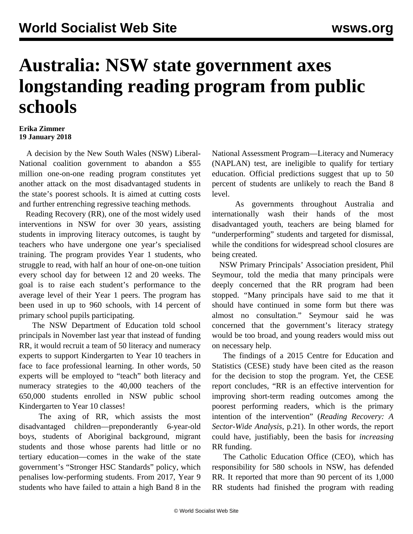## **Australia: NSW state government axes longstanding reading program from public schools**

## **Erika Zimmer 19 January 2018**

 A decision by the New South Wales (NSW) Liberal-National coalition government to abandon a \$55 million one-on-one reading program constitutes yet another attack on the most disadvantaged students in the state's poorest schools. It is aimed at cutting costs and further entrenching regressive teaching methods.

 Reading Recovery (RR), one of the most widely used interventions in NSW for over 30 years, assisting students in improving literacy outcomes, is taught by teachers who have undergone one year's specialised training. The program provides Year 1 students, who struggle to read, with half an hour of one-on-one tuition every school day for between 12 and 20 weeks. The goal is to raise each student's performance to the average level of their Year 1 peers. The program has been used in up to 960 schools, with 14 percent of primary school pupils participating.

 The NSW Department of Education told school principals in November last year that instead of funding RR, it would recruit a team of 50 literacy and numeracy experts to support Kindergarten to Year 10 teachers in face to face professional learning. In other words, 50 experts will be employed to "teach" both literacy and numeracy strategies to the 40,000 teachers of the 650,000 students enrolled in NSW public school Kindergarten to Year 10 classes!

 The axing of RR, which assists the most disadvantaged children—preponderantly 6-year-old boys, students of Aboriginal background, migrant students and those whose parents had little or no tertiary education—comes in the wake of the state government's "Stronger HSC Standards" policy, which penalises low-performing students. From 2017, Year 9 students who have failed to attain a high Band 8 in the

National Assessment Program—Literacy and Numeracy (NAPLAN) test, are ineligible to qualify for tertiary education. Official predictions suggest that up to 50 percent of students are unlikely to reach the Band 8 level.

 As governments throughout Australia and internationally wash their hands of the most disadvantaged youth, teachers are being blamed for "underperforming" students and targeted for dismissal, while the conditions for widespread school closures are being created.

 NSW Primary Principals' Association president, Phil Seymour, told the media that many principals were deeply concerned that the RR program had been stopped. "Many principals have said to me that it should have continued in some form but there was almost no consultation." Seymour said he was concerned that the government's literacy strategy would be too broad, and young readers would miss out on necessary help.

 The findings of a 2015 Centre for Education and Statistics (CESE) study have been cited as the reason for the decision to stop the program. Yet, the CESE report concludes, "RR is an effective intervention for improving short-term reading outcomes among the poorest performing readers, which is the primary intention of the intervention" (*Reading Recovery: A Sector-Wide Analysis*, p.21). In other words, the report could have, justifiably, been the basis for *increasing* RR funding.

 The Catholic Education Office (CEO), which has responsibility for 580 schools in NSW, has defended RR. It reported that more than 90 percent of its 1,000 RR students had finished the program with reading